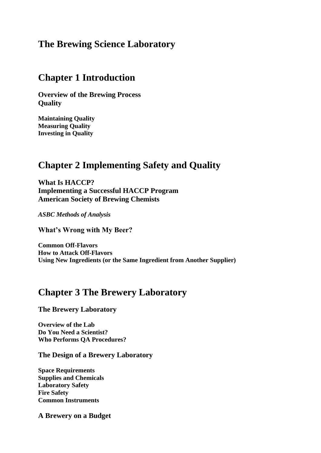## **The Brewing Science Laboratory**

### **Chapter 1 Introduction**

**Overview of the Brewing Process Quality**

**Maintaining Quality Measuring Quality Investing in Quality**

## **Chapter 2 Implementing Safety and Quality**

**What Is HACCP? Implementing a Successful HACCP Program American Society of Brewing Chemists**

*ASBC Methods of Analysis*

**What's Wrong with My Beer?**

**Common Off-Flavors How to Attack Off-Flavors Using New Ingredients (or the Same Ingredient from Another Supplier)**

## **Chapter 3 The Brewery Laboratory**

**The Brewery Laboratory**

**Overview of the Lab Do You Need a Scientist? Who Performs QA Procedures?**

**The Design of a Brewery Laboratory**

**Space Requirements Supplies and Chemicals Laboratory Safety Fire Safety Common Instruments**

**A Brewery on a Budget**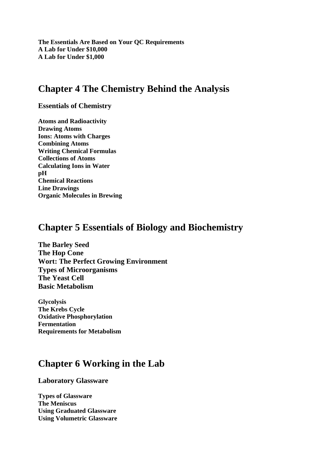**The Essentials Are Based on Your QC Requirements A Lab for Under \$10,000 A Lab for Under \$1,000**

## **Chapter 4 The Chemistry Behind the Analysis**

**Essentials of Chemistry**

**Atoms and Radioactivity Drawing Atoms Ions: Atoms with Charges Combining Atoms Writing Chemical Formulas Collections of Atoms Calculating Ions in Water pH Chemical Reactions Line Drawings Organic Molecules in Brewing**

## **Chapter 5 Essentials of Biology and Biochemistry**

**The Barley Seed The Hop Cone Wort: The Perfect Growing Environment Types of Microorganisms The Yeast Cell Basic Metabolism**

**Glycolysis The Krebs Cycle Oxidative Phosphorylation Fermentation Requirements for Metabolism**

# **Chapter 6 Working in the Lab**

**Laboratory Glassware**

**Types of Glassware The Meniscus Using Graduated Glassware Using Volumetric Glassware**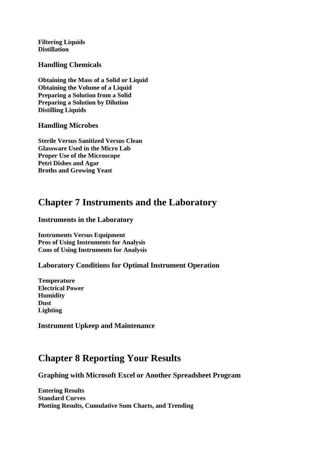**Filtering Liquids Distillation**

**Handling Chemicals**

**Obtaining the Mass of a Solid or Liquid Obtaining the Volume of a Liquid Preparing a Solution from a Solid Preparing a Solution by Dilution Distilling Liquids**

**Handling Microbes**

**Sterile Versus Sanitized Versus Clean Glassware Used in the Micro Lab Proper Use of the Microscope Petri Dishes and Agar Broths and Growing Yeast**

# **Chapter 7 Instruments and the Laboratory**

### **Instruments in the Laboratory**

**Instruments Versus Equipment Pros of Using Instruments for Analysis Cons of Using Instruments for Analysis**

### **Laboratory Conditions for Optimal Instrument Operation**

**Temperature Electrical Power Humidity Dust Lighting** 

**Instrument Upkeep and Maintenance**

# **Chapter 8 Reporting Your Results**

**Graphing with Microsoft Excel or Another Spreadsheet Program**

**Entering Results Standard Curves Plotting Results, Cumulative Sum Charts, and Trending**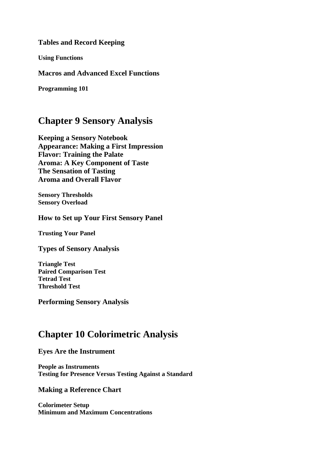**Tables and Record Keeping**

**Using Functions**

**Macros and Advanced Excel Functions**

**Programming 101**

## **Chapter 9 Sensory Analysis**

**Keeping a Sensory Notebook Appearance: Making a First Impression Flavor: Training the Palate Aroma: A Key Component of Taste The Sensation of Tasting Aroma and Overall Flavor**

**Sensory Thresholds Sensory Overload**

**How to Set up Your First Sensory Panel**

**Trusting Your Panel**

**Types of Sensory Analysis**

**Triangle Test Paired Comparison Test Tetrad Test Threshold Test**

**Performing Sensory Analysis**

# **Chapter 10 Colorimetric Analysis**

### **Eyes Are the Instrument**

**People as Instruments Testing for Presence Versus Testing Against a Standard**

### **Making a Reference Chart**

**Colorimeter Setup Minimum and Maximum Concentrations**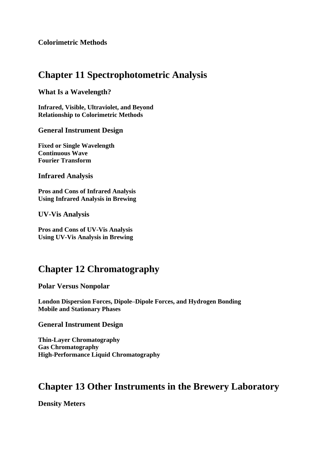**Colorimetric Methods**

## **Chapter 11 Spectrophotometric Analysis**

**What Is a Wavelength?**

**Infrared, Visible, Ultraviolet, and Beyond Relationship to Colorimetric Methods**

#### **General Instrument Design**

**Fixed or Single Wavelength Continuous Wave Fourier Transform**

**Infrared Analysis**

**Pros and Cons of Infrared Analysis Using Infrared Analysis in Brewing**

**UV-Vis Analysis**

**Pros and Cons of UV-Vis Analysis Using UV-Vis Analysis in Brewing**

# **Chapter 12 Chromatography**

**Polar Versus Nonpolar**

**London Dispersion Forces, Dipole–Dipole Forces, and Hydrogen Bonding Mobile and Stationary Phases**

**General Instrument Design**

**Thin-Layer Chromatography Gas Chromatography High-Performance Liquid Chromatography**

# **Chapter 13 Other Instruments in the Brewery Laboratory**

**Density Meters**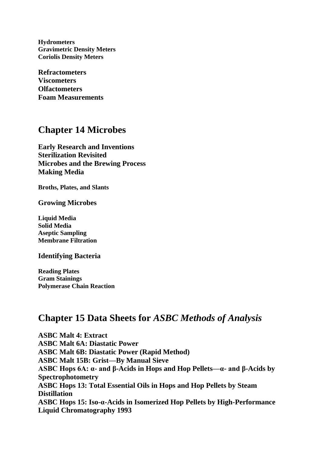**Hydrometers Gravimetric Density Meters Coriolis Density Meters**

**Refractometers Viscometers Olfactometers Foam Measurements**

## **Chapter 14 Microbes**

**Early Research and Inventions Sterilization Revisited Microbes and the Brewing Process Making Media** 

**Broths, Plates, and Slants**

**Growing Microbes**

**Liquid Media Solid Media Aseptic Sampling Membrane Filtration**

**Identifying Bacteria**

**Reading Plates Gram Stainings Polymerase Chain Reaction**

## **Chapter 15 Data Sheets for** *ASBC Methods of Analysis*

**ASBC Malt 4: Extract ASBC Malt 6A: Diastatic Power ASBC Malt 6B: Diastatic Power (Rapid Method) ASBC Malt 15B: Grist—By Manual Sieve ASBC Hops 6A: α- and β-Acids in Hops and Hop Pellets—α- and β-Acids by Spectrophotometry ASBC Hops 13: Total Essential Oils in Hops and Hop Pellets by Steam Distillation ASBC Hops 15: Iso-α-Acids in Isomerized Hop Pellets by High-Performance Liquid Chromatography 1993**